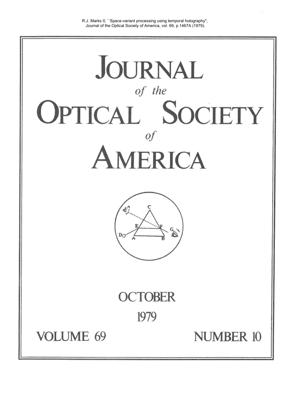